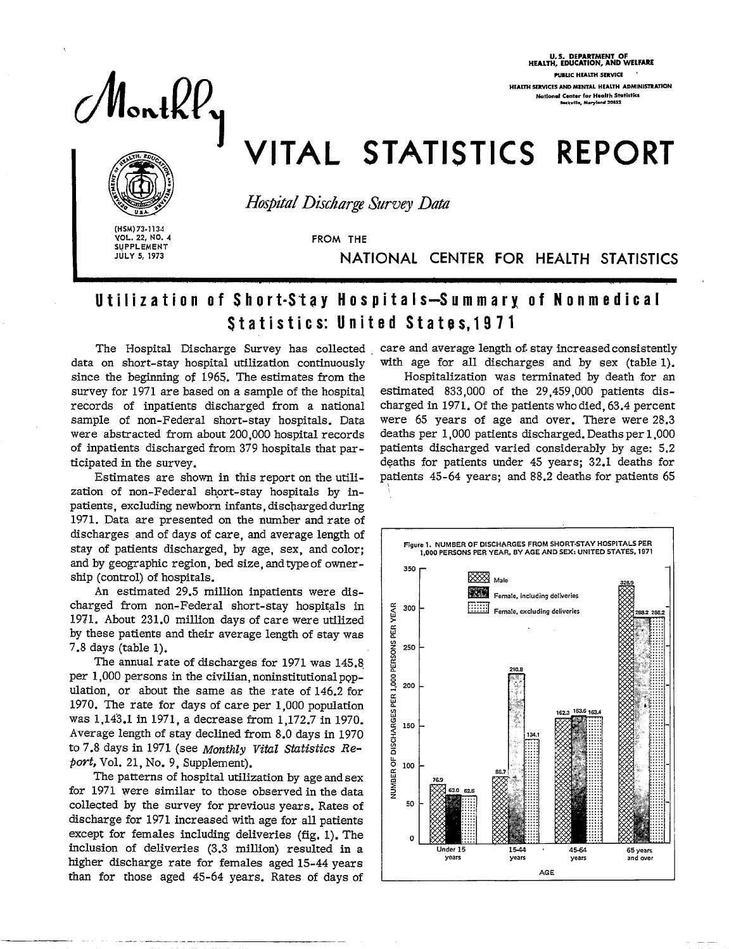Monthly

U.S. DEPARTMENT OF<br>HEALTH, EDUCATION, AND WELFA **BURLIC HEALTH SERVICE HEALTH SERVICES AND MENTAL HEALTH ADMINISTRATION National Center for Health Statistics**<br>**National State Merviors** 20852

# VITAL STATISTICS REPORT



*Hospital Diicha-ge Survey Dad* 

**I (HSM) 73-113**<br> **I POL. 22, NO<br>
I SUPPLEMENE** VOL. 22, NO. 4 SUPPLEMEN JULYS, 1973

FROM THE

NATIONAL CENTER FOR HEALTH STATISTICS

## Utilization of Short-Stay Hospitals—Summary of Nonmedi Statistics: United States.1971

data on short-stay hospital utilization continuousl since the beginning of 1965. The estimates from the survey for 1971 are based on a sample of the hospital records of inpatients discharged from a national sample of non-Federal short-stay hospitals. Data were abstracted from about 200,000 hospital records of inpatients discharged from 379 hospitals that participated in the survey.

Estimates are shown in this report on the utilization of non-Federal short-stay hospitals by inpatients, excluding newborn infants, discharged during 1971. Data are presented on the number and rate of discharges and of days of care, and average length of stay of patients discharged, by age, sex, and color; and by geographic region, bed size, and type of ownership (control) of hospitals.

An estimated 29.5 million inpatients were discharged from non- Federal short-stay hospitals in 1971. About 231.0 million days of care were utilized by these patients and their average length of stay was 7.8 days (table 1).

The annual rate of discharges for 1971 was 14S.8 per 1,000 persons in the civilian, noninstitutional population, or about the same as the rate of 146.2 for 1970. The rate for days of care per 1,000 population was 1,143.1 in 1971, a decrease from 1,172.7 in 1970. Average length of stay declined from 8.0 days in 1970 to 7.8 days in 1971 (see **Monthly Vitil** *Sfdistics Refso~t,*Vol. 21, No. 9, Supplement).

The patterns of hospital utilization by age and sex for 1971 were similar to those observed in the data collected by the survey for previous years. Rates of discharge for 1971 increased with age for all patients except for females including deliveries (fig. 1). The inclusion of deliveries (3.3 million) resulted in a higher discharge rate for females aged 15-44 years than for those aged 45-64 years. Rates of days of

——

The Hospital Discharge Survey has collected care and average length of stay increased consistently with age for all discharges and by sex (table 1).

> Hospitalization was terminated by death for an estimated 833,000 of the 29,459,000 patients discharged in 1971. of the patients who died, 63.4 percent were 65 years of age and over. There were 28.3 deaths per 1,000 patients discharged. Deaths per 1,000 patients discharged varied considerably by age: 5.2 deaths for patients under 45 years; 32.1 deaths for patients 45-64 years; and 88.2 deaths for patients 65

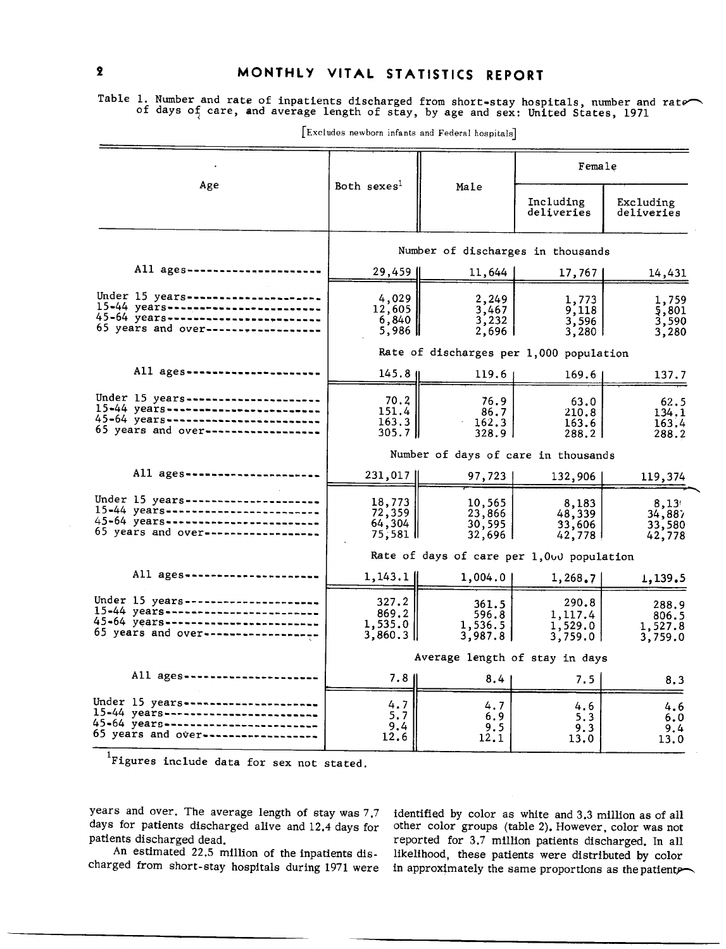Table 1. Number and rate of inpatients discharged from short-stay hospitals, number and rate or days  $\mathfrak{of}_\gamma$  care, and average length of stay, by age and sex: United States, 1971

|                                                                                                                                                            |                                         |                                           | Female                                 |                                      |  |  |
|------------------------------------------------------------------------------------------------------------------------------------------------------------|-----------------------------------------|-------------------------------------------|----------------------------------------|--------------------------------------|--|--|
| Age                                                                                                                                                        | Both sexes <sup>1</sup>                 | Male                                      | Including<br>deliveries                | Excluding<br>deliveries              |  |  |
|                                                                                                                                                            |                                         | Number of discharges in thousands         |                                        |                                      |  |  |
| All ages-----------------                                                                                                                                  | 29,459                                  | 11,644                                    | 17,767                                 | 14,431                               |  |  |
| Under 15 years------------------<br>15-44 years------------------------<br>45-64 years -------------------------<br>65 years and over------------------    | 4,029<br>12,605<br>6,840<br>5,986 ∥     | 2,249<br>3,467<br>3,232<br>$2,696$        | 1,773<br>9,118<br>3,596<br>3,280       | 1,759<br>5,801<br>3,590<br>3,280     |  |  |
|                                                                                                                                                            |                                         | Rate of discharges per 1,000 population   |                                        |                                      |  |  |
| All ages-------------------                                                                                                                                | $145.8$ II                              | 119.6                                     | 169.6                                  | 137.7                                |  |  |
| Under 15 years----------------------<br>15-44 years----------------------<br>45-64 years-------------------------<br>65 years and over------------------   | 70.2<br>151.4 l<br>163.3<br>305.7 H     | 76.9<br>86.7<br>162.3<br>328.9            | 63.0<br>210.8<br>163.6<br>288.21       | 62.5<br>134.1<br>163.4<br>288.2      |  |  |
|                                                                                                                                                            | Number of days of care in thousands     |                                           |                                        |                                      |  |  |
| All ages -------------------                                                                                                                               | 231,017                                 | 97,723                                    | 132,906                                | 119,374                              |  |  |
| Under 15 years----------------------<br>15-44 years-------------------------<br>45-64 years------------------------<br>65 years and over------------------ | 18,773<br>72,359<br>64,304<br>75,581 II | 10,565<br>23,866<br>30,595<br>32,696      | 8,183<br>48,339<br>33,606<br>42,778 !  | 8,13'<br>34,887<br>33,580<br>42,778  |  |  |
|                                                                                                                                                            |                                         | Rate of days of care per 1,000 population |                                        |                                      |  |  |
| All ages ------------------                                                                                                                                | $1,143.1$ II                            | 1,004.0                                   | 1,268.7                                | 1,139.5                              |  |  |
| Under 15 years----------------------<br>15-44 years------------------------<br>45-64 years------------------------<br>65 years and over----------------    | 327.2<br>869.2<br>1,535.0<br>$3,860.3$  | 361.5<br>596.8<br>1,536.5<br>3,987.81     | 290.8<br>1,117.4<br>1,529.0<br>3,759.0 | 288.9<br>806.5<br>1,527.8<br>3,759.0 |  |  |
|                                                                                                                                                            | Average length of stay in days          |                                           |                                        |                                      |  |  |
| All ages------------------                                                                                                                                 | 7.81                                    | 8.4 <sub>1</sub>                          | 7.5                                    | 8,3                                  |  |  |
| Under 15 years----------------------<br>15-44 years-------------------------<br>45-64 years------------------------<br>65 years and over------------------ | 4.7<br>5.7<br>9.4<br>12.6               | 4.7<br>6.9<br>9.5<br>12.1                 | 4.6<br>5.3<br>9.3<br>13,0              | 4.6<br>6.0<br>9.4<br>13.0            |  |  |

 $\lfloor$  Excludes newborn infants and  $\rm{Federal}$  hospital

'Figures include data for sex not stated.

years and over. The average length of stay was 7.7 identified by color as white and 3.3 million as of all days for patients discharged alive and 12.4 days for other color groups (table 2). However, color was not

days for patients discharged alive and 12.4 days for other color groups (table 2). However, color was not patients discharged dead.<br>reported for 3.7 million patients discharged. In all ents discharged dead. reported for 3.7 million patients discharged. In all<br>An estimated 22.5 million of the inpatients dis- likelihood, these patients were distributed by color likelihood, these patients were distributed by color charged from short-stay hospitals during 1971 were in approximately the same proportions as the patients

 $\overline{2}$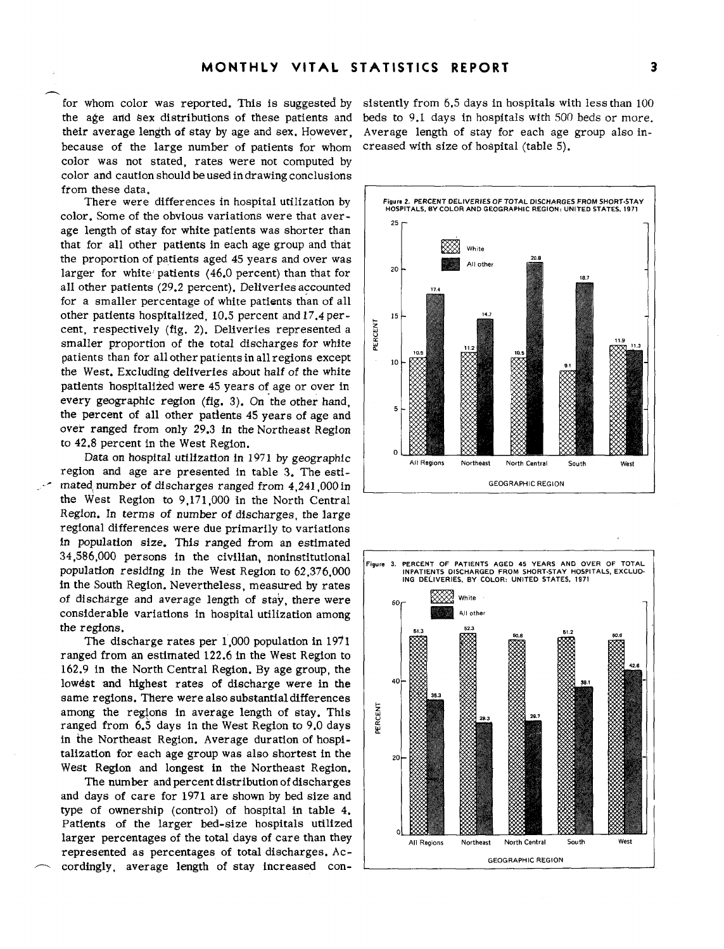the age and  $\frac{1}{2}$  are distributions of these patients and beds to 9.1 days in hospitals with 500 beds or more. their average length of stay by age and sex. However, because of the large number of patients for whom color was not stated, rates were not computed by color and caution should be used in drawing conclusions from these data.

color. Some of the obvious variations were that aver- $\begin{bmatrix} 0 & 0 \\ 0 & 25 \end{bmatrix}$ age length of stay for white patients was shorter than that for all other patients in each age group and that the proportion of patients aged 45 years and over was larger for white patients (46.0 percent) than that for  $\vert$  <sup>20</sup> all other patients (29.2 percent). Deliveries accounted for a smaller percentage of white patients than of all other patients hospitalized, 10.5 percent and 17.4 per-<br>cent, respectively (fig. 2). Deliveries represented a<br>smaller proportion of the total discharges for white cent, respectively (fig. 2). Deliveries represented a smaller proportion of the total discharges for white patients than for all other patients in all regions except  $\begin{vmatrix} 0 & 10 \\ 0 & 10 \end{vmatrix}$ the West. Excluding deliveries about half of the white patients hospitalized were 45 years of age or over in every geographic region (fig. 3). On the other hand, the percent of all other patients 45 years of age and over ranged from only 29.3 in the Northeast Region to 42.8 percent in the West Region.

Data on hospital utilization in  $1971$  by geographic region and age are presented in table 3. The estimated number of discharges ranged from 4,241,000 in **GEOGRAPHIC REGION GEOGRAPHIC REGION** the West Region to 9,171,000 in the North Central Region. In terms of number of discharges, the large regional differences were due primarily to variations in population size. This ranged from an estimated 34 ,S86,000 persons in the civilian, noninstitutional population residing in the West Region to 62,376,000 in the South Region. Nevertheless, measured by rates of discharge and average length of stay, there were  $\int_{\text{60}}$ considerable variations in hospital utilization among the regions.

The discharge rates per 1,000 population in 1971 ranged from an estimated 122.6 in the West Region to 162.9 in the North Central Region. By age group, the lowest and highest rates of discharge were in the  $\frac{40}{40}$ same regions. There were also substantial differences among the regions in average length of stay. This ranged from  $6.5$  days in the West Region to 9.0 days in the Northeast Region. Average duration of hospi talization for each age group was also shortest in the  $\frac{1}{20}$ West Region and longest in the Northeast Region.

The number and percent distribution of discharges and days of care for 1971 are shown by bed size and type of ownership (control) of hospital in table 4. Patients of the larger bed-size hospitals utilized larger percentages of the total days of care than they represented as percentages of total discharges. Ac- **GEOGRAPHIC REGION**  cordingly, average length of stay increased con-

for whom color was reported. This is suggested by sistently from 6.5 days in hospitals with less than 100 Average length of stay for each age group also increased with size of hospital (table 5).



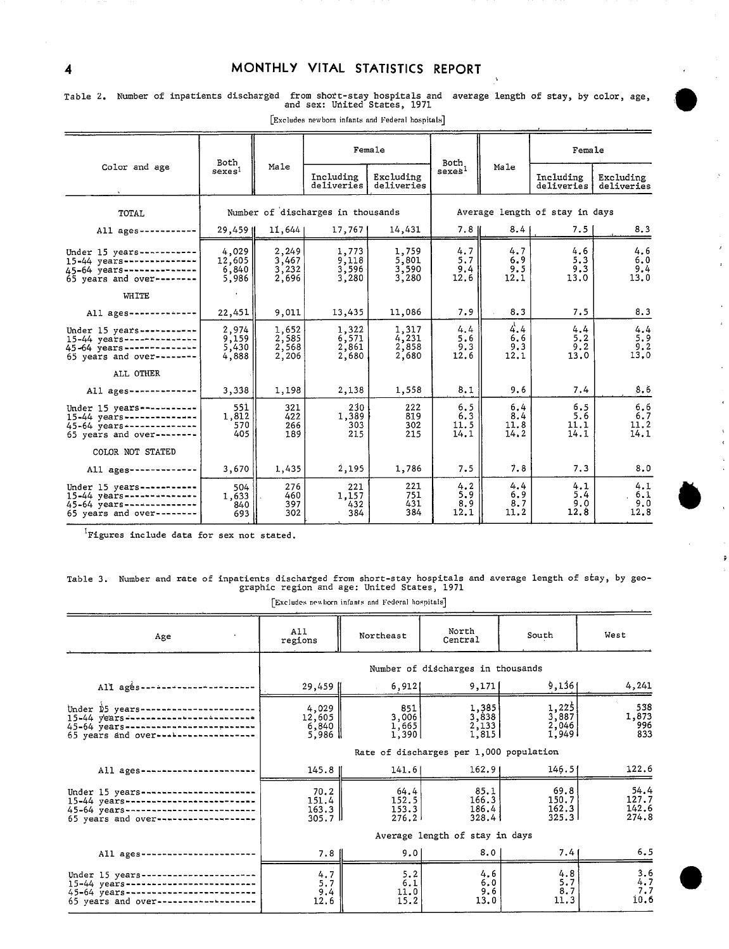#### 4 MONTHLY VITAL STATISTICS REPORT

Table 2. Number of inpatienta discharg&d from shoit-stay hospitala and average length of stay, by color, age, ,, and sex: UfiitedStatea, 1971 \*

|                                                                                                                       | Both                                                  |                                   | Female                           |                                  | Both                           |                            | Female                     |                            |
|-----------------------------------------------------------------------------------------------------------------------|-------------------------------------------------------|-----------------------------------|----------------------------------|----------------------------------|--------------------------------|----------------------------|----------------------------|----------------------------|
| Color and age                                                                                                         | sexes <sup>1</sup>                                    | Male                              | Including<br>deliveries          | Excluding<br>deliveries          | $s$ exes <sup>1</sup>          | Male                       | Including<br>deliveries    | Excluding<br>deliveries    |
| <b>TOTAL</b>                                                                                                          |                                                       | Number of discharges in thousands |                                  |                                  | Average length of stay in days |                            |                            |                            |
| All ages -----------                                                                                                  | 29,459 II                                             | 11,644                            | 17,767                           | 14,431                           | 7.8 II                         | 8.41                       | 7.51                       | 8.3                        |
| Under 15 years-----------<br>$15-44$ years--------------<br>45-64 years--------------<br>65 years and over--------    | 4,029<br>12,605<br>6,840<br>5,986                     | 2.249<br>3,467<br>3,232<br>2,696  | 1,773<br>9,118<br>3,596<br>3,280 | 1,759<br>5,801<br>3,590<br>3,280 | 4.7<br>5.7<br>9.4<br>12.6      | 4.7<br>6.9<br>9.5<br>12.1  | 4.6<br>5.3<br>9.3<br>13.0  | 4.6<br>6.0<br>9.4<br>13.0  |
| WHITE                                                                                                                 |                                                       |                                   |                                  |                                  |                                |                            |                            |                            |
| All ages-------------                                                                                                 | 22,451                                                | 9,011                             | 13,435                           | 11,086                           | 7.9                            | 8.3                        | 7.5                        | 8.3                        |
| Under 15 years-----------<br>$15-44$ years ---------------<br>45-64 years --------------<br>65 years and over-------- | 2,974<br>9,159<br>5,430<br>4,888                      | 1,652<br>2,585<br>2,568<br>2,206  | 1,322<br>6,571<br>2,861<br>2,680 | 1,317<br>4,231<br>2,858<br>2,680 | 4.4<br>5.6<br>9.3<br>12.6      | 4.4<br>6.6<br>9.3<br>12.1  | 4.4<br>5.2<br>9.2<br>13.0  | 4.4<br>5.9<br>9.2<br>13,0  |
| ALL OTHER                                                                                                             |                                                       |                                   |                                  |                                  |                                |                            |                            |                            |
| All $a$ ges--------------                                                                                             | 3,338                                                 | 1,198                             | 2,138                            | 1,558                            | 8.1                            | 9.6                        | 7.4                        | 8.6                        |
| Under 15 years -----------<br>15-44 years --------------<br>45-64 years --------------<br>65 years and over--------   | 551<br>1,812<br>570<br>405                            | 321<br>422<br>266<br>189          | 230<br>1,389<br>303<br>215       | 222<br>819<br>302<br>215         | 6.5<br>6.3<br>11.5<br>14.1     | 6.4<br>8.4<br>11.8<br>14.2 | 6.5<br>5.6<br>11.1<br>14.1 | 6,6<br>6.7<br>11.2<br>14.1 |
| COLOR NOT STATED                                                                                                      |                                                       |                                   |                                  |                                  |                                |                            |                            |                            |
| All ages -------------                                                                                                | 3,670                                                 | 1,435                             | 2,195                            | 1,786                            | 7.5                            | 7.8                        | 7.3                        | 8.0                        |
| Under 15 years -----------<br>$15-44$ years --------------<br>45-64 years--------------<br>65 years and over--------  | 504<br>1,633<br>840<br>693                            | 276<br>460<br>397<br>302          | 221<br>1,157<br>432<br>384       | 221<br>751<br>431<br>384         | 4.2<br>5.9<br>8.9<br>12.1      | 4.4<br>6.9<br>8.7<br>11.2  | 4.1<br>5.4<br>9.0<br>12.8  | 4.1<br>6.1<br>9.0<br>12.8  |
|                                                                                                                       | <sup>1</sup> Figures include data for sex not stated. |                                   |                                  |                                  |                                |                            |                            |                            |

 $\left[$  Excludes newborn infants and Federal hospitals<sup>]</sup>

<sup>1</sup>Figures include data for sex not stated.

## Table 3. Number and rate of inpatients discharged from short-stay hoapitala and average length of stay, by geo graphic region and age: United States, 1971

| Excludes newborn infants and Federal hospitals |  |  |  |  |
|------------------------------------------------|--|--|--|--|
|                                                |  |  |  |  |

| Age                                                                                                                                       | A11<br>regions                            | Northeast                         | North<br>Central                                                 | South                                                    | West                            |  |  |
|-------------------------------------------------------------------------------------------------------------------------------------------|-------------------------------------------|-----------------------------------|------------------------------------------------------------------|----------------------------------------------------------|---------------------------------|--|--|
|                                                                                                                                           |                                           | Number of discharges in thousands |                                                                  |                                                          |                                 |  |  |
| All ages --------------                                                                                                                   | 29,459                                    | 6,912                             | 9,171                                                            | 9,136                                                    | 4,241                           |  |  |
| Under \$5 years--<br>$15-44$ years ------------------------<br>45-64 years ----------------------<br>65 years and over--------------      | 4,029<br>12,605<br>$6,840$  <br>5,986     | 851<br>$3,006$<br>1,665<br>1,390  | $\begin{bmatrix} 1,385 \\ 3,838 \\ 2,133 \end{bmatrix}$<br>1,815 | $\frac{1}{3}$ , $\frac{225}{887}$<br>2, 046<br>1,9491    | 538<br>1,873<br>996<br>833      |  |  |
|                                                                                                                                           | Rate of discharges per 1,000 population   |                                   |                                                                  |                                                          |                                 |  |  |
| All $a$ ges -----------                                                                                                                   | $145.8$ $\parallel$                       | 141.6                             | 162.91                                                           | 146.51                                                   | 122.6                           |  |  |
| Under 15 years-------------<br>15-44 years----------------------<br>45-64 years------------------------<br>65 years and over------------- | 70.2<br>151.4<br>$163.3$   <br>$305.7$ II | 64.4<br>152.5<br>153.3<br>276.2   | 85.1<br>166.3<br>186.4<br>328.4                                  | 69.8<br>150.7<br>162.3<br>325.31                         | 54.4<br>127.7<br>142.6<br>274.8 |  |  |
|                                                                                                                                           | Average length of stay in days            |                                   |                                                                  |                                                          |                                 |  |  |
| All ages -------------                                                                                                                    | $7.8$                                     | 9.01                              | 8.0                                                              | 7.41                                                     | 6.5                             |  |  |
| Under 15 years--<br>$15-44$ years-------------------<br>45-64 years-----------<br>65 years and over-------------                          | $\frac{4.7}{5.7}$<br>9.4<br>12.6          | 5.2<br>6.1<br>11.0<br>15.2        | 4.6<br>$6.0$<br>9.6<br>13.0                                      | $\begin{array}{c} 4.8 \\ 5.7 \\ 8.7 \end{array}$<br>11.3 | 3.6<br>4.7<br>7.7<br>10.6       |  |  |



;

 $\hat{S}$ 

 $\mathbf{r}$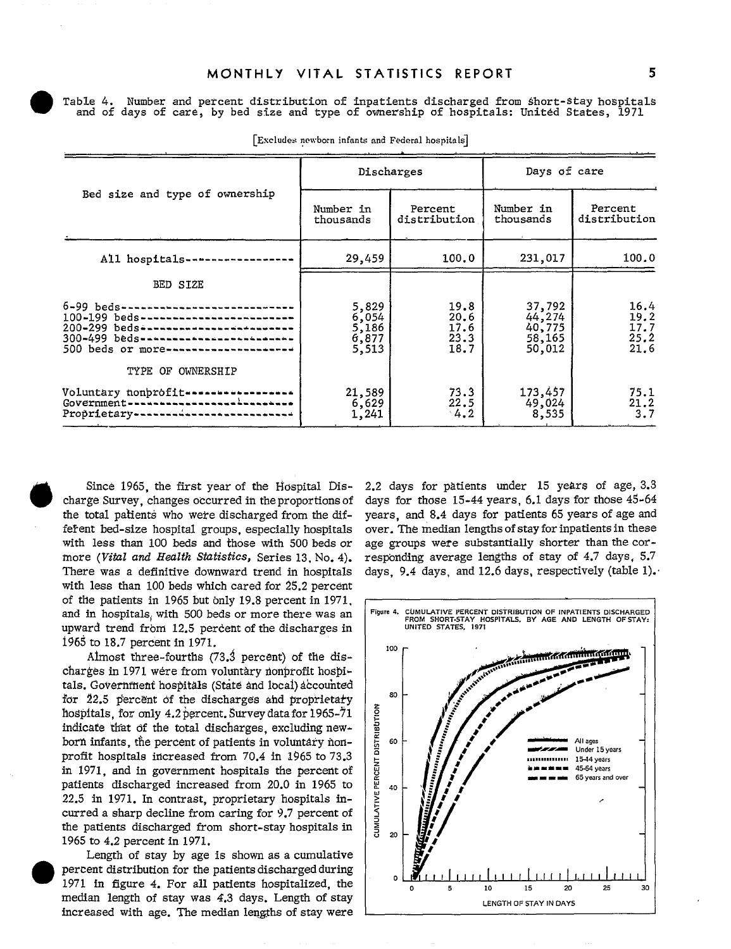Table 4. Number and percent distribution of inpatients discharged from short-stay hospitals and of days of care, by bed size and type of ownership of hospitals: United States, 1971

|                                                                                                                                                                                      |                                             | Discharges                           | Days of care                                   |                                      |  |
|--------------------------------------------------------------------------------------------------------------------------------------------------------------------------------------|---------------------------------------------|--------------------------------------|------------------------------------------------|--------------------------------------|--|
| Bed size and type of ownership                                                                                                                                                       | Number in<br>thousands                      | Percent<br>distribution              | Number in<br>thousands                         | Percent<br>distribution              |  |
| All hospitals---                                                                                                                                                                     | 29,459                                      | 100.0                                | 231,017                                        | 100.0                                |  |
| BED SIZE                                                                                                                                                                             |                                             |                                      |                                                |                                      |  |
| $6 - 99$ beds --<br>100-199 beds-------------------------<br>200-299 beds ------------------------<br>300-499 beds-------------------------<br>500 beds or more--------------------- | 5,829<br>$6,054$<br>5,186<br>6,877<br>5,513 | 19.8<br>20.6<br>17.6<br>23.3<br>18.7 | 37,792<br>44,274<br>40,775<br>58,165<br>50,012 | 16.4<br>19.2<br>17.7<br>25.2<br>21.6 |  |
| TYPE OF OWNERSHIP                                                                                                                                                                    |                                             |                                      |                                                |                                      |  |
| Voluntary nonprofit---------<br>hada bahasan da<br>Government ----------<br>Proprietary--------------                                                                                | 21,589<br>6,629<br>1,241                    | 73.3<br>22.5<br>4.2                  | 173,457<br>49,024<br>8,535                     | 75.1<br>21.2<br>3.7                  |  |

[Excludes newborn infants and Federal hospitals]

Since 1965, the first year of the Hospital Discharge Survey, changes occurred in theproportions of the total patients who were discharged from the different bed-size hospital groups, especially hospitals with less than 100 beds and those with 500 beds or more *(Vital and Health Statistics,* Series 13, No.4). There was a definitive downward trend in hospitals with less than  $100$  beds which cared for  $25.2$  percent of die patients in 1965 but only 19.8 percentin 1971, and in hospitals, with 500 beds or more there was an upward trend from 12.5 percent of the discharges in 1965 to 18.7 percent in 1971.

Almost three-fourths  $(73.3$  percent) of the discharges in 1971 were from voluntary nonprofit hospitals. Government hospitals (State and local) accounted for  $22.5$  percent of the discharges and proprietary hospitals, for only  $4.2~\text{percent}$ . Survey data for 1965-71 indicate that of the total discharges, excluding newborn infants, the percent of patients in voluntary nonprofit hospitals increased from 70.4 in 1965 to 73.3 in 1971, and in government hospitals the percentof patients discharged increased from 20.0 in 1965 to 22.5 in 1971. In contrast, proprietary hospitals incurred a sharp decline from caring for 9.7 percent of the patients discharged from short-stay hospitals in 1965 to 4.2 percent in 1971.

Length of stay by age is shown as a cumulative percent distribution for the patients discharged during 1971 in figure 4. For all patients hospitalized, the median length of stay was 4.3 days. Length of stay increased with age. The median lengths of stay were

2.2 days for patients under 15 years of age, 3.3 days for those  $15-44$  years, 6.1 days for those  $45-64$ years, and 8.4 days for patients 65 years of age and over. The median lengthsofstay forinpatients in these age groups were substantially shorter than the corresponding average lengths of stay of  $4.7$  days,  $5.7$ days, 9.4 days, and 12.6 days, respectively (table 1).

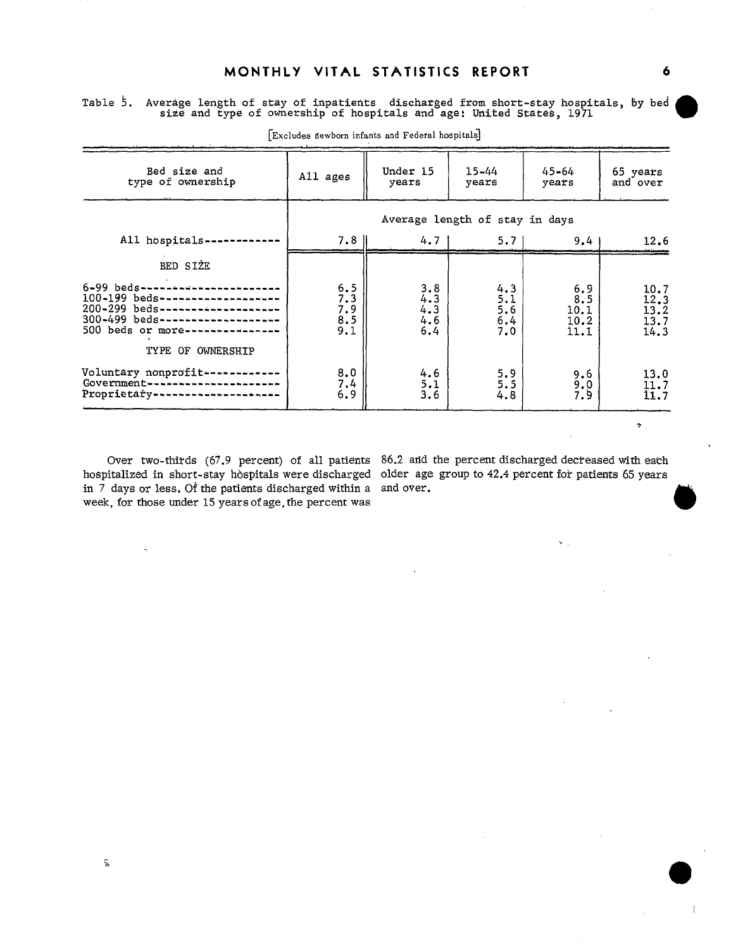#### MONTHLY VITAL STATISTICS REPORT 6

Table 5. Average length of stay of inpatients discharged from short-stay hospitals, by bed size and type of ownership of hospitals and age: United States,  $1971$ 

| Bed size and<br>type of ownership                                                                                                                                                          | All ages                          | Under 15<br>years                 | $15 - 44$<br>years              | $45 - 64$<br>years                  | 65 years<br>and over                 |  |
|--------------------------------------------------------------------------------------------------------------------------------------------------------------------------------------------|-----------------------------------|-----------------------------------|---------------------------------|-------------------------------------|--------------------------------------|--|
|                                                                                                                                                                                            |                                   | Average length of stay in days    |                                 |                                     |                                      |  |
| All hospitals-                                                                                                                                                                             | 7.8 ll                            | $4.7 \text{ }$                    | 5.71                            | 9.4                                 | 12.6                                 |  |
| BED SIZE                                                                                                                                                                                   |                                   |                                   |                                 |                                     |                                      |  |
| 6-99 beds-------------------<br>100-199 beds--------------------<br>200-299 beds--------------------<br>300-499 beds-------------------<br>500 beds or more----------<br>TYPE OF OWNERSHIP | $5.5$<br>7.3<br>7.9<br>8.5<br>9.1 | $3.8$<br>4.3<br>4.3<br>4.6<br>6.4 | 4.3<br>5.1<br>5.6<br>6.4<br>7.0 | 6, 9<br>8.5<br>10.1<br>10.2<br>11.1 | 10.7<br>12.3<br>13.2<br>13.7<br>14.3 |  |
| Voluntary nonprofit----------<br>Government --<br>Proprietary---------------                                                                                                               | 8.0<br>7.4<br>6.9                 | 4.6<br>5.1<br>3.6                 | 5.9<br>5.5<br>4.8               | $9.6$<br>$9.0$<br>7.9               | 13.0<br>$\frac{11.7}{11.7}$          |  |

[Excludes newborn infants and Federal hospitals]

in 7 days or less, Of the patients discharged within a and over. week, for those under 15 years of age, the percent was

Over two-thirds (67.9 percent) of all patients 86.2 and the percent discharged decreased with each hospitalized in short-stay hospitals were discharged older age group to 42.4 percent for patients 65 years

 $\mathbf{x}_{\mathrm{max}}$ 

 $\ddot{\gamma}$ 

 $\mathbf{1}$